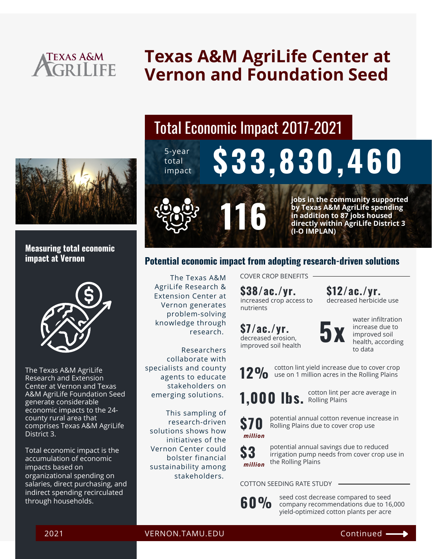

# **Texas A&M AgriLife Center at Vernon and Foundation Seed**



#### **Measuring total economic impact at Vernon**



The Texas A&M AgriLife Research and Extension Center at Vernon and Texas A&M AgriLife Foundation Seed generate considerable economic impacts to the 24 county rural area that comprises Texas A&M AgriLife District 3.

Total economic impact is the accumulation of economic impacts based on organizational spending on salaries, direct purchasing, and indirect spending recirculated through households.

# Total Economic Impact 2017-2021

5-year total **Experies \$33,830,460** 



116

**jobs in the community supported by Texas A&M AgriLife spending in addition to 87 jobs housed directly within AgriLife District 3 (I-O IMPLAN)**

#### **Potential economic impact from adopting research-driven solutions**

The Texas A&M AgriLife Research & Extension Center at Vernon generates problem-solving knowledge through research.

Researchers collaborate with specialists and county agents to educate stakeholders on emerging solutions.

This sampling of research-driven solutions shows how initiatives of the Vernon Center could bolster financial sustainability among stakeholders.

COVER CROP BENEFITS

increased crop access to nutrients **\$38/ac./yr.**

**\$7/ac./yr.**



water infiltration increase due to improved soil health, according to data

decreased herbicide use

**\$12/ac./yr.**

cotton lint yield increase due to cover crop **12%** COLLOTT MIT SHELL MICE BASE GIVE TO LOVER CITY

**1,000 lbs.** Rolling Plains

decreased erosion, improved soil health

cotton lint per acre average in



potential annual cotton revenue increase in Rolling Plains due to cover crop use



potential annual savings due to reduced irrigation pump needs from cover crop use in the Rolling Plains

COTTON SEEDING RATE STUDY



seed cost decrease compared to seed company recommendations due to 16,000 yield-optimized cotton plants per acre